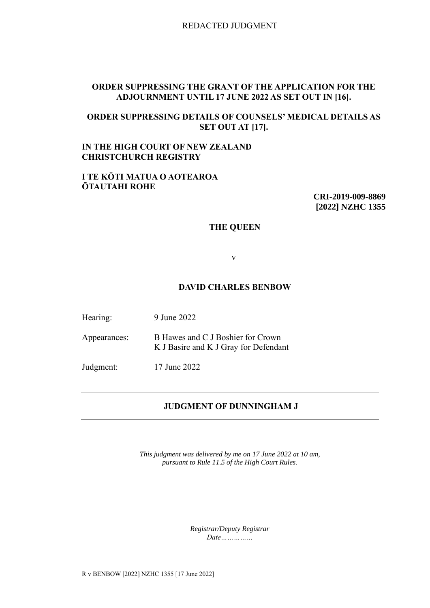REDACTED JUDGMENT

# **ORDER SUPPRESSING THE GRANT OF THE APPLICATION FOR THE ADJOURNMENT UNTIL 17 JUNE 2022 AS SET OUT IN [16].**

# **ORDER SUPPRESSING DETAILS OF COUNSELS' MEDICAL DETAILS AS SET OUT AT [17].**

# **IN THE HIGH COURT OF NEW ZEALAND CHRISTCHURCH REGISTRY**

#### **I TE KŌTI MATUA O AOTEAROA ŌTAUTAHI ROHE**

**CRI-2019-009-8869 [2022] NZHC 1355**

### **THE QUEEN**

v

#### **DAVID CHARLES BENBOW**

Hearing: 9 June 2022

Appearances: B Hawes and C J Boshier for Crown K J Basire and K J Gray for Defendant

Judgment: 17 June 2022

### **JUDGMENT OF DUNNINGHAM J**

*This judgment was delivered by me on 17 June 2022 at 10 am, pursuant to Rule 11.5 of the High Court Rules.*

> *Registrar/Deputy Registrar Date……………*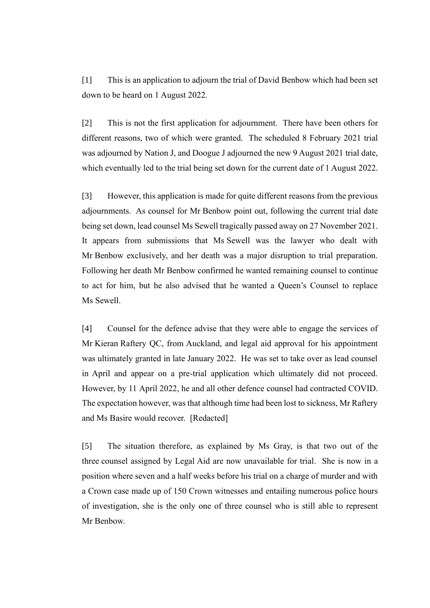[1] This is an application to adjourn the trial of David Benbow which had been set down to be heard on 1 August 2022.

[2] This is not the first application for adjournment. There have been others for different reasons, two of which were granted. The scheduled 8 February 2021 trial was adjourned by Nation J, and Doogue J adjourned the new 9 August 2021 trial date, which eventually led to the trial being set down for the current date of 1 August 2022.

[3] However, this application is made for quite different reasons from the previous adjournments. As counsel for Mr Benbow point out, following the current trial date being set down, lead counsel Ms Sewell tragically passed away on 27 November 2021. It appears from submissions that Ms Sewell was the lawyer who dealt with Mr Benbow exclusively, and her death was a major disruption to trial preparation. Following her death Mr Benbow confirmed he wanted remaining counsel to continue to act for him, but he also advised that he wanted a Queen's Counsel to replace Ms Sewell.

[4] Counsel for the defence advise that they were able to engage the services of Mr Kieran Raftery QC, from Auckland, and legal aid approval for his appointment was ultimately granted in late January 2022. He was set to take over as lead counsel in April and appear on a pre-trial application which ultimately did not proceed. However, by 11 April 2022, he and all other defence counsel had contracted COVID. The expectation however, was that although time had been lost to sickness, Mr Raftery and Ms Basire would recover. [Redacted]

[5] The situation therefore, as explained by Ms Gray, is that two out of the three counsel assigned by Legal Aid are now unavailable for trial. She is now in a position where seven and a half weeks before his trial on a charge of murder and with a Crown case made up of 150 Crown witnesses and entailing numerous police hours of investigation, she is the only one of three counsel who is still able to represent Mr Benbow.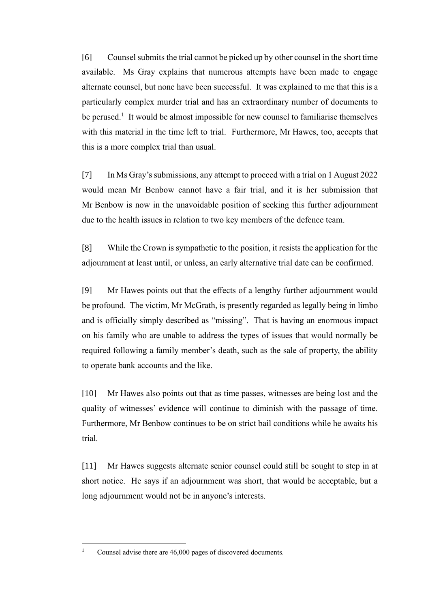[6] Counsel submits the trial cannot be picked up by other counsel in the short time available. Ms Gray explains that numerous attempts have been made to engage alternate counsel, but none have been successful. It was explained to me that this is a particularly complex murder trial and has an extraordinary number of documents to be perused.<sup>1</sup> It would be almost impossible for new counsel to familiarise themselves with this material in the time left to trial. Furthermore, Mr Hawes, too, accepts that this is a more complex trial than usual.

[7] In Ms Gray's submissions, any attempt to proceed with a trial on 1 August 2022 would mean Mr Benbow cannot have a fair trial, and it is her submission that Mr Benbow is now in the unavoidable position of seeking this further adjournment due to the health issues in relation to two key members of the defence team.

[8] While the Crown is sympathetic to the position, it resists the application for the adjournment at least until, or unless, an early alternative trial date can be confirmed.

[9] Mr Hawes points out that the effects of a lengthy further adjournment would be profound. The victim, Mr McGrath, is presently regarded as legally being in limbo and is officially simply described as "missing". That is having an enormous impact on his family who are unable to address the types of issues that would normally be required following a family member's death, such as the sale of property, the ability to operate bank accounts and the like.

[10] Mr Hawes also points out that as time passes, witnesses are being lost and the quality of witnesses' evidence will continue to diminish with the passage of time. Furthermore, Mr Benbow continues to be on strict bail conditions while he awaits his trial.

[11] Mr Hawes suggests alternate senior counsel could still be sought to step in at short notice. He says if an adjournment was short, that would be acceptable, but a long adjournment would not be in anyone's interests.

<sup>&</sup>lt;sup>1</sup> Counsel advise there are 46,000 pages of discovered documents.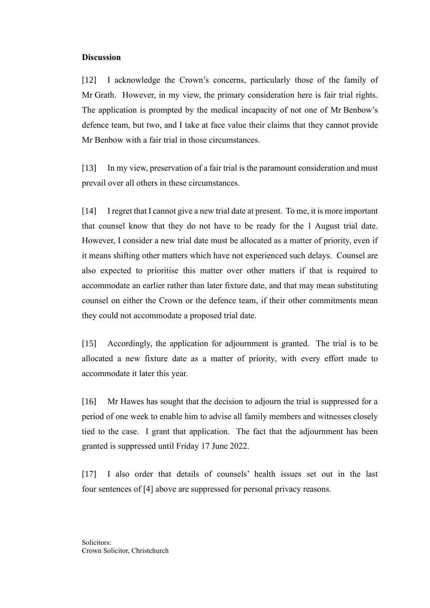#### **Discussion**

[12] I acknowledge the Crown's concerns, particularly those of the family of Mr Grath. However, in my view, the primary consideration here is fair trial rights. The application is prompted by the medical incapacity of not one of Mr Benbow's defence team, but two, and I take at face value their claims that they cannot provide Mr Benbow with a fair trial in those circumstances.

[13] In my view, preservation of a fair trial is the paramount consideration and must prevail over all others in these circumstances.

[14] I regret that I cannot give a new trial date at present. To me, it is more important that counsel know that they do not have to be ready for the 1 August trial date. However, I consider a new trial date must be allocated as a matter of priority, even if it means shifting other matters which have not experienced such delays. Counsel are also expected to prioritise this matter over other matters if that is required to accommodate an earlier rather than later fixture date, and that may mean substituting counsel on either the Crown or the defence team, if their other commitments mean they could not accommodate a proposed trial date.

[15] Accordingly, the application for adjournment is granted. The trial is to be allocated a new fixture date as a matter of priority, with every effort made to accommodate it later this year.

[16] Mr Hawes has sought that the decision to adjourn the trial is suppressed for a period of one week to enable him to advise all family members and witnesses closely tied to the case. I grant that application. The fact that the adjournment has been granted is suppressed until Friday 17 June 2022.

[17] I also order that details of counsels' health issues set out in the last four sentences of [4] above are suppressed for personal privacy reasons.